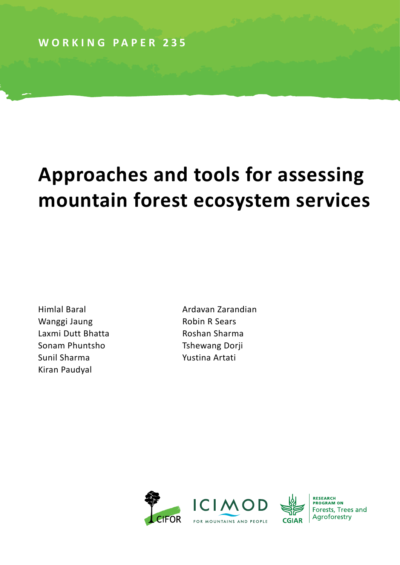# **Approaches and tools for assessing mountain forest ecosystem services**

Himlal Baral Wanggi Jaung Laxmi Dutt Bhatta Sonam Phuntsho Sunil Sharma Kiran Paudyal

Ardavan Zarandian Robin R Sears Roshan Sharma Tshewang Dorji Yustina Artati





**RESEARCH<br>PROGRAM ON** Forests, Trees and Agroforestry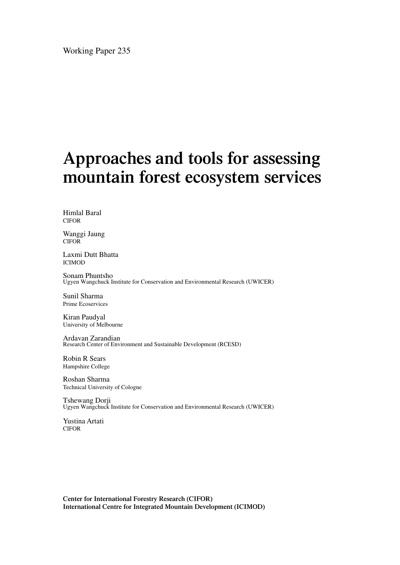Working Paper 235

### **Approaches and tools for assessing mountain forest ecosystem services**

Himlal Baral CIFOR

Wanggi Jaung CIFOR

Laxmi Dutt Bhatta ICIMOD

Sonam Phuntsho Ugyen Wangchuck Institute for Conservation and Environmental Research (UWICER)

Sunil Sharma Prime Ecoservices

Kiran Paudyal University of Melbourne

Ardavan Zarandian Research Center of Environment and Sustainable Development (RCESD)

Robin R Sears Hampshire College

Roshan Sharma Technical University of Cologne

Tshewang Dorji Ugyen Wangchuck Institute for Conservation and Environmental Research (UWICER)

Yustina Artati CIFOR

**Center for International Forestry Research (CIFOR) International Centre for Integrated Mountain Development (ICIMOD)**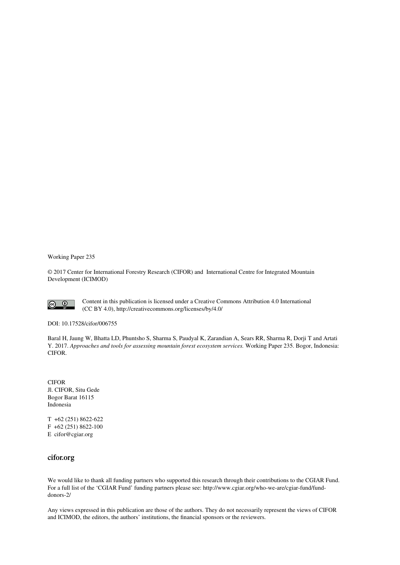Working Paper 235

© 2017 Center for International Forestry Research (CIFOR) and International Centre for Integrated Mountain Development (ICIMOD)



Content in this publication is licensed under a Creative Commons Attribution 4.0 International (CC BY 4.0), http://creativecommons.org/licenses/by/4.0/

DOI: 10.17528/cifor/006755

Baral H, Jaung W, Bhatta LD, Phuntsho S, Sharma S, Paudyal K, Zarandian A, Sears RR, Sharma R, Dorji T and Artati Y. 2017. *Approaches and tools for assessing mountain forest ecosystem services.* Working Paper 235. Bogor, Indonesia: CIFOR.

CIFOR Jl. CIFOR, Situ Gede Bogor Barat 16115 Indonesia

T +62 (251) 8622-622 F +62 (251) 8622-100 E cifor@cgiar.org

#### **cifor.org**

We would like to thank all funding partners who supported this research through their contributions to the CGIAR Fund. For a full list of the 'CGIAR Fund' funding partners please see: http://www.cgiar.org/who-we-are/cgiar-fund/funddonors-2/

Any views expressed in this publication are those of the authors. They do not necessarily represent the views of CIFOR and ICIMOD, the editors, the authors' institutions, the financial sponsors or the reviewers.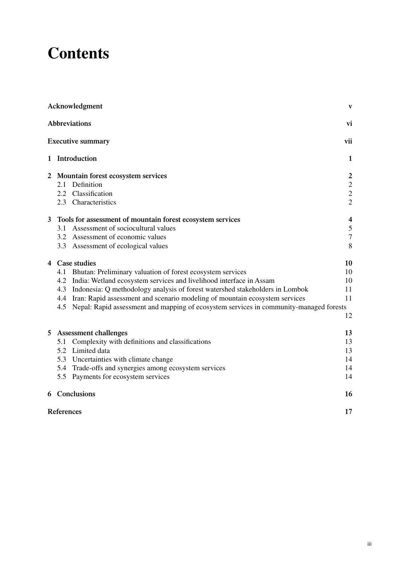### **Contents**

|                | Acknowledgment                                                                             | $\mathbf{V}$            |
|----------------|--------------------------------------------------------------------------------------------|-------------------------|
|                | <b>Abbreviations</b>                                                                       | vi                      |
|                | <b>Executive summary</b>                                                                   | vii                     |
|                | 1 Introduction                                                                             | $\mathbf{1}$            |
|                | 2 Mountain forest ecosystem services                                                       | $\boldsymbol{2}$        |
|                | Definition<br>2.1                                                                          | $\boldsymbol{2}$        |
|                | 2.2 Classification                                                                         | $\overline{c}$          |
|                | 2.3 Characteristics                                                                        | $\overline{2}$          |
| $\mathbf{3}$   | Tools for assessment of mountain forest ecosystem services                                 | $\overline{\mathbf{4}}$ |
|                | Assessment of sociocultural values<br>3.1                                                  | $\sqrt{5}$              |
|                | Assessment of economic values<br>3.2                                                       | $\overline{7}$          |
|                | 3.3 Assessment of ecological values                                                        | 8                       |
|                | 4 Case studies                                                                             | 10                      |
|                | Bhutan: Preliminary valuation of forest ecosystem services<br>4.1                          | 10                      |
|                | India: Wetland ecosystem services and livelihood interface in Assam<br>4.2                 | 10                      |
|                | Indonesia: Q methodology analysis of forest watershed stakeholders in Lombok<br>4.3        | 11                      |
|                | 4.4 Iran: Rapid assessment and scenario modeling of mountain ecosystem services            | 11                      |
|                | 4.5 Nepal: Rapid assessment and mapping of ecosystem services in community-managed forests |                         |
|                |                                                                                            | 12                      |
| 5 <sup>5</sup> | <b>Assessment challenges</b>                                                               | 13                      |
|                | Complexity with definitions and classifications<br>5.1                                     | 13                      |
|                | Limited data<br>5.2                                                                        | 13                      |
|                | 5.3<br>Uncertainties with climate change                                                   | 14                      |
|                | 5.4 Trade-offs and synergies among ecosystem services                                      | 14                      |
|                | 5.5<br>Payments for ecosystem services                                                     | 14                      |
|                | 6 Conclusions                                                                              | 16                      |
|                | <b>References</b>                                                                          | 17                      |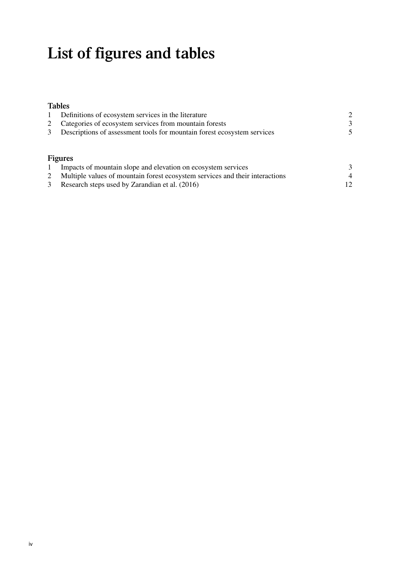## **List of figures and tables**

### **Tables**

|   | Definitions of ecosystem services in the literature                          | $\overline{2}$ |  |
|---|------------------------------------------------------------------------------|----------------|--|
| 2 | Categories of ecosystem services from mountain forests                       | 3              |  |
| 3 | Descriptions of assessment tools for mountain forest ecosystem services      |                |  |
|   |                                                                              |                |  |
|   |                                                                              |                |  |
|   | <b>Figures</b>                                                               |                |  |
|   | Impacts of mountain slope and elevation on ecosystem services                | 3              |  |
| 2 | Multiple values of mountain forest ecosystem services and their interactions | $\overline{4}$ |  |
| 3 | Research steps used by Zarandian et al. (2016)                               | 12             |  |
|   |                                                                              |                |  |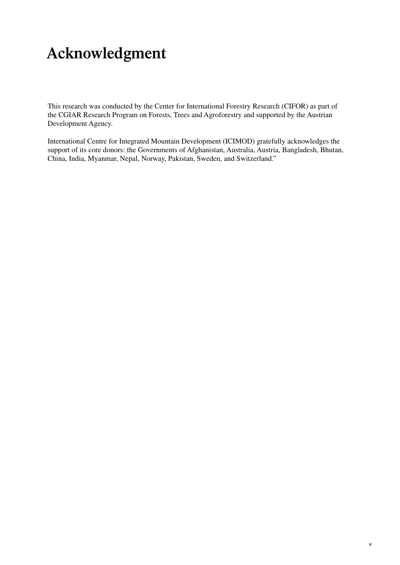### <span id="page-6-0"></span>**Acknowledgment**

This research was conducted by the Center for International Forestry Research (CIFOR) as part of the CGIAR Research Program on Forests, Trees and Agroforestry and supported by the Austrian Development Agency.

International Centre for Integrated Mountain Development (ICIMOD) gratefully acknowledges the support of its core donors: the Governments of Afghanistan, Australia, Austria, Bangladesh, Bhutan, China, India, Myanmar, Nepal, Norway, Pakistan, Sweden, and Switzerland."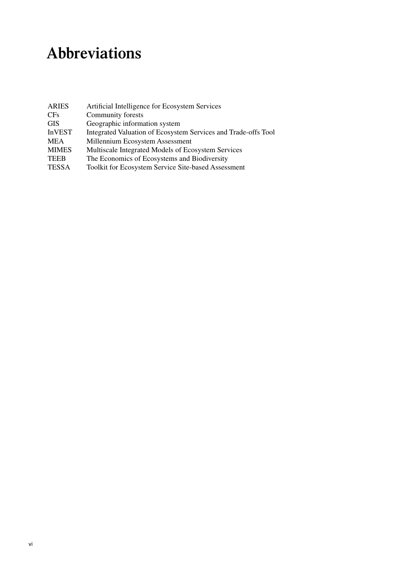## <span id="page-7-0"></span>**Abbreviations**

| <b>ARIES</b>  | Artificial Intelligence for Ecosystem Services                 |
|---------------|----------------------------------------------------------------|
| <b>CFs</b>    | Community forests                                              |
| <b>GIS</b>    | Geographic information system                                  |
| <b>InVEST</b> | Integrated Valuation of Ecosystem Services and Trade-offs Tool |
| <b>MEA</b>    | Millennium Ecosystem Assessment                                |
| <b>MIMES</b>  | Multiscale Integrated Models of Ecosystem Services             |
| <b>TEEB</b>   | The Economics of Ecosystems and Biodiversity                   |
| <b>TESSA</b>  | <b>Toolkit for Ecosystem Service Site-based Assessment</b>     |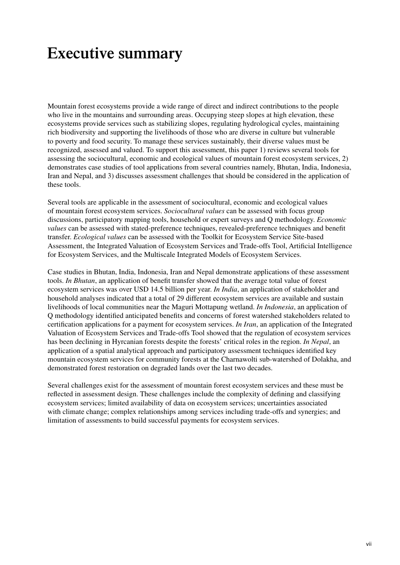### <span id="page-8-0"></span>**Executive summary**

Mountain forest ecosystems provide a wide range of direct and indirect contributions to the people who live in the mountains and surrounding areas. Occupying steep slopes at high elevation, these ecosystems provide services such as stabilizing slopes, regulating hydrological cycles, maintaining rich biodiversity and supporting the livelihoods of those who are diverse in culture but vulnerable to poverty and food security. To manage these services sustainably, their diverse values must be recognized, assessed and valued. To support this assessment, this paper 1) reviews several tools for assessing the sociocultural, economic and ecological values of mountain forest ecosystem services, 2) demonstrates case studies of tool applications from several countries namely, Bhutan, India, Indonesia, Iran and Nepal, and 3) discusses assessment challenges that should be considered in the application of these tools.

Several tools are applicable in the assessment of sociocultural, economic and ecological values of mountain forest ecosystem services. *Sociocultural values* can be assessed with focus group discussions, participatory mapping tools, household or expert surveys and Q methodology. *Economic values* can be assessed with stated-preference techniques, revealed-preference techniques and benefit transfer. *Ecological values* can be assessed with the Toolkit for Ecosystem Service Site-based Assessment, the Integrated Valuation of Ecosystem Services and Trade-offs Tool, Artificial Intelligence for Ecosystem Services, and the Multiscale Integrated Models of Ecosystem Services.

Case studies in Bhutan, India, Indonesia, Iran and Nepal demonstrate applications of these assessment tools. *In Bhutan*, an application of benefit transfer showed that the average total value of forest ecosystem services was over USD 14.5 billion per year. *In India*, an application of stakeholder and household analyses indicated that a total of 29 different ecosystem services are available and sustain livelihoods of local communities near the Maguri Mottapung wetland. *In Indonesia*, an application of Q methodology identified anticipated benefits and concerns of forest watershed stakeholders related to certification applications for a payment for ecosystem services. *In Iran*, an application of the Integrated Valuation of Ecosystem Services and Trade-offs Tool showed that the regulation of ecosystem services has been declining in Hyrcanian forests despite the forests' critical roles in the region. *In Nepal*, an application of a spatial analytical approach and participatory assessment techniques identified key mountain ecosystem services for community forests at the Charnawolti sub-watershed of Dolakha, and demonstrated forest restoration on degraded lands over the last two decades.

Several challenges exist for the assessment of mountain forest ecosystem services and these must be reflected in assessment design. These challenges include the complexity of defining and classifying ecosystem services; limited availability of data on ecosystem services; uncertainties associated with climate change; complex relationships among services including trade-offs and synergies; and limitation of assessments to build successful payments for ecosystem services.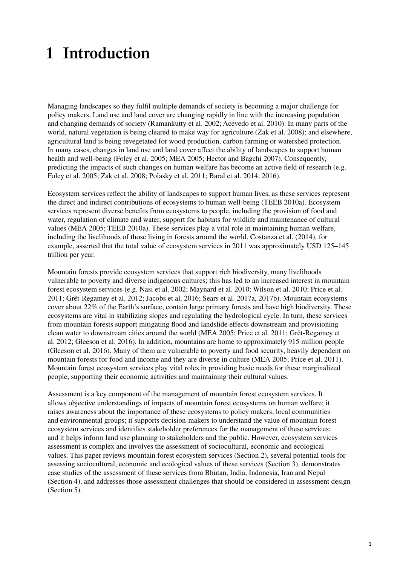### <span id="page-10-0"></span>**1 Introduction**

Managing landscapes so they fulfil multiple demands of society is becoming a major challenge for policy makers. Land use and land cover are changing rapidly in line with the increasing population and changing demands of society (Ramankutty et al. 2002; Acevedo et al. 2010). In many parts of the world, natural vegetation is being cleared to make way for agriculture (Zak et al. 2008); and elsewhere, agricultural land is being revegetated for wood production, carbon farming or watershed protection. In many cases, changes in land use and land cover affect the ability of landscapes to support human health and well-being (Foley et al. 2005; MEA 2005; Hector and Bagchi 2007). Consequently, predicting the impacts of such changes on human welfare has become an active field of research (e.g. Foley et al. 2005; Zak et al. 2008; Polasky et al. 2011; Baral et al. 2014, 2016).

Ecosystem services reflect the ability of landscapes to support human lives, as these services represent the direct and indirect contributions of ecosystems to human well-being (TEEB 2010a). Ecosystem services represent diverse benefits from ecosystems to people, including the provision of food and water, regulation of climate and water, support for habitats for wildlife and maintenance of cultural values (MEA 2005; TEEB 2010a). These services play a vital role in maintaining human welfare, including the livelihoods of those living in forests around the world. Costanza et al. (2014), for example, asserted that the total value of ecosystem services in 2011 was approximately USD 125–145 trillion per year.

Mountain forests provide ecosystem services that support rich biodiversity, many livelihoods vulnerable to poverty and diverse indigenous cultures; this has led to an increased interest in mountain forest ecosystem services (e.g. Nasi et al. 2002; Maynard et al. 2010; Wilson et al. 2010; Price et al. 2011; Grêt-Regamey et al. 2012; Jacobs et al. 2016; Sears et al. 2017a, 2017b). Mountain ecosystems cover about 22% of the Earth's surface, contain large primary forests and have high biodiversity. These ecosystems are vital in stabilizing slopes and regulating the hydrological cycle. In turn, these services from mountain forests support mitigating flood and landslide effects downstream and provisioning clean water to downstream cities around the world (MEA 2005; Price et al. 2011; Grêt-Regamey et al. 2012; Gleeson et al. 2016). In addition, mountains are home to approximately 915 million people (Gleeson et al. 2016). Many of them are vulnerable to poverty and food security, heavily dependent on mountain forests for food and income and they are diverse in culture (MEA 2005; Price et al. 2011). Mountain forest ecosystem services play vital roles in providing basic needs for these marginalized people, supporting their economic activities and maintaining their cultural values.

Assessment is a key component of the management of mountain forest ecosystem services. It allows objective understandings of impacts of mountain forest ecosystems on human welfare; it raises awareness about the importance of these ecosystems to policy makers, local communities and environmental groups; it supports decision-makers to understand the value of mountain forest ecosystem services and identifies stakeholder preferences for the management of these services; and it helps inform land use planning to stakeholders and the public. However, ecosystem services assessment is complex and involves the assessment of sociocultural, economic and ecological values. This paper reviews mountain forest ecosystem services (Section 2), several potential tools for assessing sociocultural, economic and ecological values of these services (Section 3), demonstrates case studies of the assessment of these services from Bhutan, India, Indonesia, Iran and Nepal (Section 4), and addresses those assessment challenges that should be considered in assessment design (Section 5).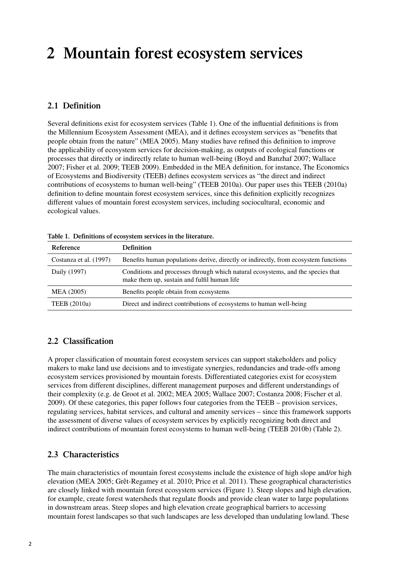### <span id="page-11-0"></span>**2 Mountain forest ecosystem services**

### **2.1 Definition**

Several definitions exist for ecosystem services (Table 1). One of the influential definitions is from the Millennium Ecosystem Assessment (MEA), and it defines ecosystem services as "benefits that people obtain from the nature" (MEA 2005). Many studies have refined this definition to improve the applicability of ecosystem services for decision-making, as outputs of ecological functions or processes that directly or indirectly relate to human well-being (Boyd and Banzhaf 2007; Wallace 2007; Fisher et al. 2009; TEEB 2009). Embedded in the MEA definition, for instance, The Economics of Ecosystems and Biodiversity (TEEB) defines ecosystem services as "the direct and indirect contributions of ecosystems to human well-being" (TEEB 2010a). Our paper uses this TEEB (2010a) definition to define mountain forest ecosystem services, since this definition explicitly recognizes different values of mountain forest ecosystem services, including sociocultural, economic and ecological values.

| Reference              | <b>Definition</b>                                                                                                              |  |  |  |
|------------------------|--------------------------------------------------------------------------------------------------------------------------------|--|--|--|
| Costanza et al. (1997) | Benefits human populations derive, directly or indirectly, from ecosystem functions                                            |  |  |  |
| Daily (1997)           | Conditions and processes through which natural ecosystems, and the species that<br>make them up, sustain and fulfil human life |  |  |  |
| MEA (2005)             | Benefits people obtain from ecosystems                                                                                         |  |  |  |
| <b>TEEB</b> (2010a)    | Direct and indirect contributions of ecosystems to human well-being                                                            |  |  |  |

**Table 1. Definitions of ecosystem services in the literature.**

### **2.2 Classification**

A proper classification of mountain forest ecosystem services can support stakeholders and policy makers to make land use decisions and to investigate synergies, redundancies and trade-offs among ecosystem services provisioned by mountain forests. Differentiated categories exist for ecosystem services from different disciplines, different management purposes and different understandings of their complexity (e.g. de Groot et al. 2002; MEA 2005; Wallace 2007; Costanza 2008; Fischer et al. 2009). Of these categories, this paper follows four categories from the TEEB – provision services, regulating services, habitat services, and cultural and amenity services – since this framework supports the assessment of diverse values of ecosystem services by explicitly recognizing both direct and indirect contributions of mountain forest ecosystems to human well-being (TEEB 2010b) (Table 2).

### **2.3 Characteristics**

The main characteristics of mountain forest ecosystems include the existence of high slope and/or high elevation (MEA 2005; Grêt-Regamey et al. 2010; Price et al. 2011). These geographical characteristics are closely linked with mountain forest ecosystem services (Figure 1). Steep slopes and high elevation, for example, create forest watersheds that regulate floods and provide clean water to large populations in downstream areas. Steep slopes and high elevation create geographical barriers to accessing mountain forest landscapes so that such landscapes are less developed than undulating lowland. These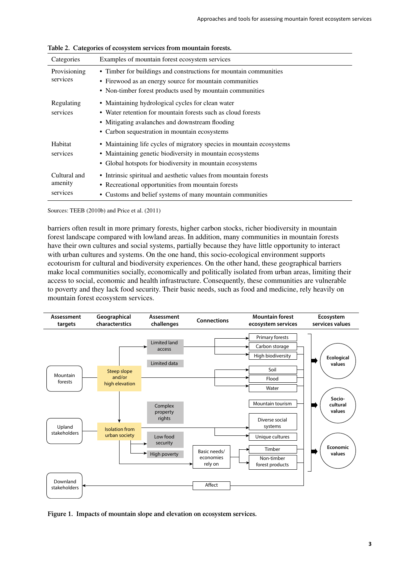| $\frac{1}{2}$ . Chiefs the or ecosystem set these from modificant for estate |                                                                                                                                                                                                                       |  |  |
|------------------------------------------------------------------------------|-----------------------------------------------------------------------------------------------------------------------------------------------------------------------------------------------------------------------|--|--|
| Categories                                                                   | Examples of mountain forest ecosystem services                                                                                                                                                                        |  |  |
| Provisioning<br>services                                                     | • Timber for buildings and constructions for mountain communities<br>• Firewood as an energy source for mountain communities<br>• Non-timber forest products used by mountain communities                             |  |  |
| Regulating<br>services                                                       | • Maintaining hydrological cycles for clean water<br>• Water retention for mountain forests such as cloud forests<br>• Mitigating avalanches and downstream flooding<br>• Carbon sequestration in mountain ecosystems |  |  |
| Habitat<br>services                                                          | • Maintaining life cycles of migratory species in mountain ecosystems<br>• Maintaining genetic biodiversity in mountain ecosystems<br>• Global hotspots for biodiversity in mountain ecosystems                       |  |  |
| Cultural and<br>amenity<br>services                                          | • Intrinsic spiritual and aesthetic values from mountain forests<br>• Recreational opportunities from mountain forests<br>• Customs and belief systems of many mountain communities                                   |  |  |

**Table 2. Categories of ecosystem services from mountain forests.**

Sources: TEEB (2010b) and Price et al. (2011)

barriers often result in more primary forests, higher carbon stocks, richer biodiversity in mountain forest landscape compared with lowland areas. In addition, many communities in mountain forests have their own cultures and social systems, partially because they have little opportunity to interact with urban cultures and systems. On the one hand, this socio-ecological environment supports ecotourism for cultural and biodiversity experiences. On the other hand, these geographical barriers make local communities socially, economically and politically isolated from urban areas, limiting their access to social, economic and health infrastructure. Consequently, these communities are vulnerable to poverty and they lack food security. Their basic needs, such as food and medicine, rely heavily on mountain forest ecosystem services.



**Figure 1. Impacts of mountain slope and elevation on ecosystem services.**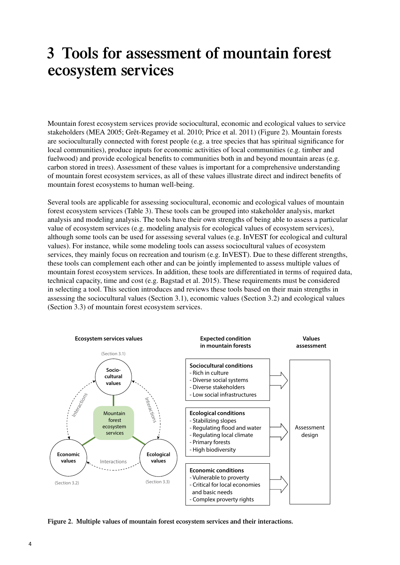### <span id="page-13-0"></span>**3 Tools for assessment of mountain forest ecosystem services**

Mountain forest ecosystem services provide sociocultural, economic and ecological values to service stakeholders (MEA 2005; Grêt-Regamey et al. 2010; Price et al. 2011) (Figure 2). Mountain forests are socioculturally connected with forest people (e.g. a tree species that has spiritual significance for local communities), produce inputs for economic activities of local communities (e.g. timber and fuelwood) and provide ecological benefits to communities both in and beyond mountain areas (e.g. carbon stored in trees). Assessment of these values is important for a comprehensive understanding of mountain forest ecosystem services, as all of these values illustrate direct and indirect benefits of mountain forest ecosystems to human well-being.

Several tools are applicable for assessing sociocultural, economic and ecological values of mountain forest ecosystem services (Table 3). These tools can be grouped into stakeholder analysis, market analysis and modeling analysis. The tools have their own strengths of being able to assess a particular value of ecosystem services (e.g. modeling analysis for ecological values of ecosystem services), although some tools can be used for assessing several values (e.g. InVEST for ecological and cultural values). For instance, while some modeling tools can assess sociocultural values of ecosystem services, they mainly focus on recreation and tourism (e.g. InVEST). Due to these different strengths, these tools can complement each other and can be jointly implemented to assess multiple values of mountain forest ecosystem services. In addition, these tools are differentiated in terms of required data, technical capacity, time and cost (e.g. Bagstad et al. 2015). These requirements must be considered in selecting a tool. This section introduces and reviews these tools based on their main strengths in assessing the sociocultural values (Section 3.1), economic values (Section 3.2) and ecological values (Section 3.3) of mountain forest ecosystem services.



**Figure 2. Multiple values of mountain forest ecosystem services and their interactions.**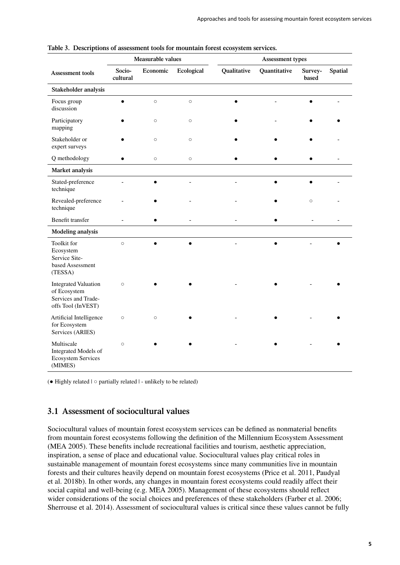|                                                                                          | Measurable values  |          | Assessment types |             |              |                  |                |
|------------------------------------------------------------------------------------------|--------------------|----------|------------------|-------------|--------------|------------------|----------------|
| Assessment tools                                                                         | Socio-<br>cultural | Economic | Ecological       | Qualitative | Quantitative | Survey-<br>based | <b>Spatial</b> |
| Stakeholder analysis                                                                     |                    |          |                  |             |              |                  |                |
| Focus group<br>discussion                                                                |                    | $\circ$  | $\circ$          |             |              |                  |                |
| Participatory<br>mapping                                                                 |                    | $\circ$  | $\circ$          |             |              |                  |                |
| Stakeholder or<br>expert surveys                                                         |                    | $\circ$  | $\circ$          |             |              |                  |                |
| Q methodology                                                                            |                    | $\circ$  | $\circ$          |             |              |                  |                |
| Market analysis                                                                          |                    |          |                  |             |              |                  |                |
| Stated-preference<br>technique                                                           |                    |          |                  |             |              |                  |                |
| Revealed-preference<br>technique                                                         |                    |          |                  |             |              | $\circ$          |                |
| Benefit transfer                                                                         |                    |          |                  |             |              |                  |                |
| <b>Modeling analysis</b>                                                                 |                    |          |                  |             |              |                  |                |
| Toolkit for<br>Ecosystem<br>Service Site-<br>based Assessment<br>(TESSA)                 | $\circ$            |          | $\bullet$        |             |              |                  | $\bullet$      |
| <b>Integrated Valuation</b><br>of Ecosystem<br>Services and Trade-<br>offs Tool (InVEST) | $\circ$            |          |                  |             |              |                  |                |
| Artificial Intelligence<br>for Ecosystem<br>Services (ARIES)                             | $\circ$            | $\circ$  |                  |             |              |                  |                |
| Multiscale<br>Integrated Models of<br><b>Ecosystem Services</b><br>(MIMES)               | $\circ$            |          |                  |             |              |                  |                |

<span id="page-14-0"></span>

(● Highly related | ○ partially related | - unlikely to be related)

### **3.1 Assessment of sociocultural values**

Sociocultural values of mountain forest ecosystem services can be defined as nonmaterial benefits from mountain forest ecosystems following the definition of the Millennium Ecosystem Assessment (MEA 2005). These benefits include recreational facilities and tourism, aesthetic appreciation, inspiration, a sense of place and educational value. Sociocultural values play critical roles in sustainable management of mountain forest ecosystems since many communities live in mountain forests and their cultures heavily depend on mountain forest ecosystems (Price et al. 2011, Paudyal et al. 2018b). In other words, any changes in mountain forest ecosystems could readily affect their social capital and well-being (e.g. MEA 2005). Management of these ecosystems should reflect wider considerations of the social choices and preferences of these stakeholders (Farber et al. 2006; Sherrouse et al. 2014). Assessment of sociocultural values is critical since these values cannot be fully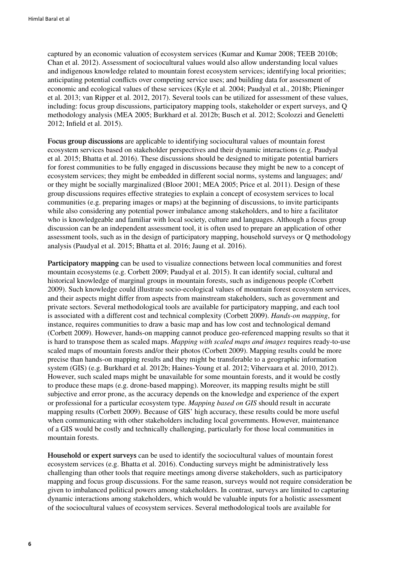captured by an economic valuation of ecosystem services (Kumar and Kumar 2008; TEEB 2010b; Chan et al. 2012). Assessment of sociocultural values would also allow understanding local values and indigenous knowledge related to mountain forest ecosystem services; identifying local priorities; anticipating potential conflicts over competing service uses; and building data for assessment of economic and ecological values of these services (Kyle et al. 2004; Paudyal et al., 2018b; Plieninger et al. 2013; van Ripper et al. 2012, 2017). Several tools can be utilized for assessment of these values, including: focus group discussions, participatory mapping tools, stakeholder or expert surveys, and Q methodology analysis (MEA 2005; Burkhard et al. 2012b; Busch et al. 2012; Scolozzi and Geneletti 2012; Infield et al. 2015).

**Focus group discussions** are applicable to identifying sociocultural values of mountain forest ecosystem services based on stakeholder perspectives and their dynamic interactions (e.g. Paudyal et al. 2015; Bhatta et al. 2016). These discussions should be designed to mitigate potential barriers for forest communities to be fully engaged in discussions because they might be new to a concept of ecosystem services; they might be embedded in different social norms, systems and languages; and/ or they might be socially marginalized (Bloor 2001; MEA 2005; Price et al. 2011). Design of these group discussions requires effective strategies to explain a concept of ecosystem services to local communities (e.g. preparing images or maps) at the beginning of discussions, to invite participants while also considering any potential power imbalance among stakeholders, and to hire a facilitator who is knowledgeable and familiar with local society, culture and languages. Although a focus group discussion can be an independent assessment tool, it is often used to prepare an application of other assessment tools, such as in the design of participatory mapping, household surveys or Q methodology analysis (Paudyal et al. 2015; Bhatta et al. 2016; Jaung et al. 2016).

**Participatory mapping** can be used to visualize connections between local communities and forest mountain ecosystems (e.g. Corbett 2009; Paudyal et al. 2015). It can identify social, cultural and historical knowledge of marginal groups in mountain forests, such as indigenous people (Corbett 2009). Such knowledge could illustrate socio-ecological values of mountain forest ecosystem services, and their aspects might differ from aspects from mainstream stakeholders, such as government and private sectors. Several methodological tools are available for participatory mapping, and each tool is associated with a different cost and technical complexity (Corbett 2009). *Hands-on mapping*, for instance, requires communities to draw a basic map and has low cost and technological demand (Corbett 2009). However, hands-on mapping cannot produce geo-referenced mapping results so that it is hard to transpose them as scaled maps. *Mapping with scaled maps and images* requires ready-to-use scaled maps of mountain forests and/or their photos (Corbett 2009). Mapping results could be more precise than hands-on mapping results and they might be transferable to a geographic information system (GIS) (e.g. Burkhard et al. 2012b; Haines-Young et al. 2012; Vihervaara et al. 2010, 2012). However, such scaled maps might be unavailable for some mountain forests, and it would be costly to produce these maps (e.g. drone-based mapping). Moreover, its mapping results might be still subjective and error prone, as the accuracy depends on the knowledge and experience of the expert or professional for a particular ecosystem type. *Mapping based on GIS* should result in accurate mapping results (Corbett 2009). Because of GIS' high accuracy, these results could be more useful when communicating with other stakeholders including local governments. However, maintenance of a GIS would be costly and technically challenging, particularly for those local communities in mountain forests.

**Household or expert surveys** can be used to identify the sociocultural values of mountain forest ecosystem services (e.g. Bhatta et al. 2016). Conducting surveys might be administratively less challenging than other tools that require meetings among diverse stakeholders, such as participatory mapping and focus group discussions. For the same reason, surveys would not require consideration be given to imbalanced political powers among stakeholders. In contrast, surveys are limited to capturing dynamic interactions among stakeholders, which would be valuable inputs for a holistic assessment of the sociocultural values of ecosystem services. Several methodological tools are available for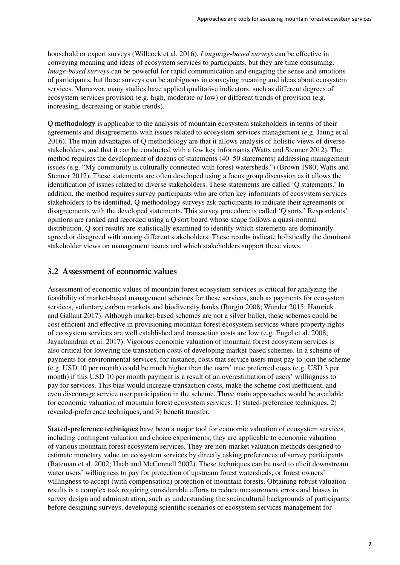<span id="page-16-0"></span>household or expert surveys (Willcock et al. 2016). *Language-based surveys* can be effective in conveying meaning and ideas of ecosystem services to participants, but they are time consuming. *Image-based surveys* can be powerful for rapid communication and engaging the sense and emotions of participants, but these surveys can be ambiguous in conveying meaning and ideas about ecosystem services. Moreover, many studies have applied qualitative indicators, such as different degrees of ecosystem services provision (e.g. high, moderate or low) or different trends of provision (e.g. increasing, decreasing or stable trends).

**Q methodology** is applicable to the analysis of mountain ecosystem stakeholders in terms of their agreements and disagreements with issues related to ecosystem services management (e.g. Jaung et al. 2016). The main advantages of Q methodology are that it allows analysis of holistic views of diverse stakeholders, and that it can be conducted with a few key informants (Watts and Stenner 2012). The method requires the development of dozens of statements (40–50 statements) addressing management issues (e.g. "My community is culturally connected with forest watersheds.") (Brown 1980; Watts and Stenner 2012). These statements are often developed using a focus group discussion as it allows the identification of issues related to diverse stakeholders. These statements are called 'Q statements.' In addition, the method requires survey participants who are often key informants of ecosystem services stakeholders to be identified. Q methodology surveys ask participants to indicate their agreements or disagreements with the developed statements. This survey procedure is called 'Q sorts.' Respondents' opinions are ranked and recorded using a Q sort board whose shape follows a quasi-normal distribution. Q sort results are statistically examined to identify which statements are dominantly agreed or disagreed with among different stakeholders. These results indicate holistically the dominant stakeholder views on management issues and which stakeholders support these views.

### **3.2 Assessment of economic values**

Assessment of economic values of mountain forest ecosystem services is critical for analyzing the feasibility of market-based management schemes for these services, such as payments for ecosystem services, voluntary carbon markets and biodiversity banks (Burgin 2008; Wunder 2015; Hamrick and Gallant 2017). Although market-based schemes are not a silver bullet, these schemes could be cost efficient and effective in provisioning mountain forest ecosystem services where property rights of ecosystem services are well established and transaction costs are low (e.g. Engel et al. 2008; Jayachandran et al. 2017). Vigorous economic valuation of mountain forest ecosystem services is also critical for lowering the transaction costs of developing market-based schemes. In a scheme of payments for environmental services, for instance, costs that service users must pay to join the scheme (e.g. USD 10 per month) could be much higher than the users' true preferred costs (e.g. USD 3 per month) if this USD 10 per month payment is a result of an overestimation of users' willingness to pay for services. This bias would increase transaction costs, make the scheme cost inefficient, and even discourage service user participation in the scheme. Three main approaches would be available for economic valuation of mountain forest ecosystem services: 1) stated-preference techniques, 2) revealed-preference techniques, and 3) benefit transfer.

**Stated-preference techniques** have been a major tool for economic valuation of ecosystem services, including contingent valuation and choice experiments; they are applicable to economic valuation of various mountain forest ecosystem services. They are non-market valuation methods designed to estimate monetary value on ecosystem services by directly asking preferences of survey participants (Bateman et al. 2002; Haab and McConnell 2002). These techniques can be used to elicit downstream water users' willingness to pay for protection of upstream forest watersheds, or forest owners' willingness to accept (with compensation) protection of mountain forests. Obtaining robust valuation results is a complex task requiring considerable efforts to reduce measurement errors and biases in survey design and administration, such as understanding the sociocultural backgrounds of participants before designing surveys, developing scientific scenarios of ecosystem services management for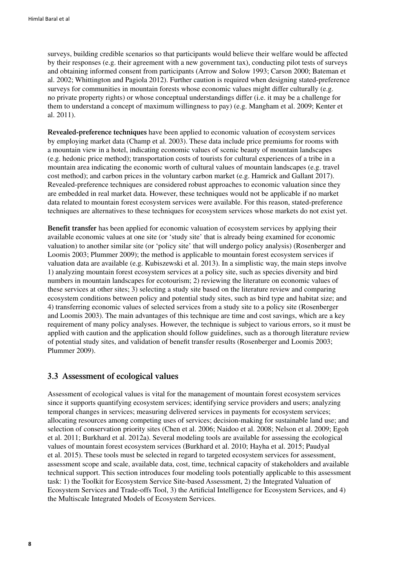<span id="page-17-0"></span>surveys, building credible scenarios so that participants would believe their welfare would be affected by their responses (e.g. their agreement with a new government tax), conducting pilot tests of surveys and obtaining informed consent from participants (Arrow and Solow 1993; Carson 2000; Bateman et al. 2002; Whittington and Pagiola 2012). Further caution is required when designing stated-preference surveys for communities in mountain forests whose economic values might differ culturally (e.g. no private property rights) or whose conceptual understandings differ (i.e. it may be a challenge for them to understand a concept of maximum willingness to pay) (e.g. Mangham et al. 2009; Kenter et al. 2011).

**Revealed-preference techniques** have been applied to economic valuation of ecosystem services by employing market data (Champ et al. 2003). These data include price premiums for rooms with a mountain view in a hotel, indicating economic values of scenic beauty of mountain landscapes (e.g. hedonic price method); transportation costs of tourists for cultural experiences of a tribe in a mountain area indicating the economic worth of cultural values of mountain landscapes (e.g. travel cost method); and carbon prices in the voluntary carbon market (e.g. Hamrick and Gallant 2017). Revealed-preference techniques are considered robust approaches to economic valuation since they are embedded in real market data. However, these techniques would not be applicable if no market data related to mountain forest ecosystem services were available. For this reason, stated-preference techniques are alternatives to these techniques for ecosystem services whose markets do not exist yet.

**Benefit transfer** has been applied for economic valuation of ecosystem services by applying their available economic values at one site (or 'study site' that is already being examined for economic valuation) to another similar site (or 'policy site' that will undergo policy analysis) (Rosenberger and Loomis 2003; Plummer 2009); the method is applicable to mountain forest ecosystem services if valuation data are available (e.g. Kubiszewski et al. 2013). In a simplistic way, the main steps involve 1) analyzing mountain forest ecosystem services at a policy site, such as species diversity and bird numbers in mountain landscapes for ecotourism; 2) reviewing the literature on economic values of these services at other sites; 3) selecting a study site based on the literature review and comparing ecosystem conditions between policy and potential study sites, such as bird type and habitat size; and 4) transferring economic values of selected services from a study site to a policy site (Rosenberger and Loomis 2003). The main advantages of this technique are time and cost savings, which are a key requirement of many policy analyses. However, the technique is subject to various errors, so it must be applied with caution and the application should follow guidelines, such as a thorough literature review of potential study sites, and validation of benefit transfer results (Rosenberger and Loomis 2003; Plummer 2009).

#### **3.3 Assessment of ecological values**

Assessment of ecological values is vital for the management of mountain forest ecosystem services since it supports quantifying ecosystem services; identifying service providers and users; analyzing temporal changes in services; measuring delivered services in payments for ecosystem services; allocating resources among competing uses of services; decision-making for sustainable land use; and selection of conservation priority sites (Chen et al. 2006; Naidoo et al. 2008; Nelson et al. 2009; Egoh et al. 2011; Burkhard et al. 2012a). Several modeling tools are available for assessing the ecological values of mountain forest ecosystem services (Burkhard et al. 2010; Hayha et al. 2015; Paudyal et al. 2015). These tools must be selected in regard to targeted ecosystem services for assessment, assessment scope and scale, available data, cost, time, technical capacity of stakeholders and available technical support. This section introduces four modeling tools potentially applicable to this assessment task: 1) the Toolkit for Ecosystem Service Site-based Assessment, 2) the Integrated Valuation of Ecosystem Services and Trade-offs Tool, 3) the Artificial Intelligence for Ecosystem Services, and 4) the Multiscale Integrated Models of Ecosystem Services.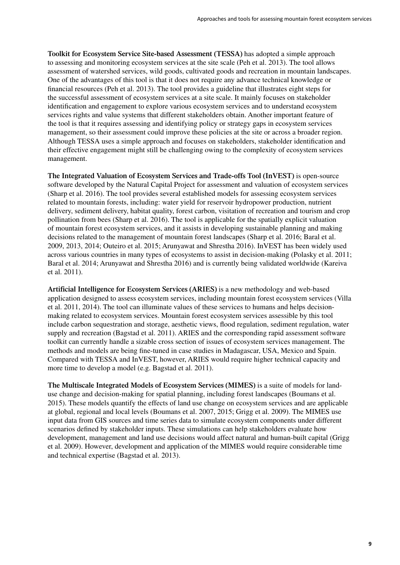**Toolkit for Ecosystem Service Site-based Assessment (TESSA)** has adopted a simple approach to assessing and monitoring ecosystem services at the site scale (Peh et al. 2013). The tool allows assessment of watershed services, wild goods, cultivated goods and recreation in mountain landscapes. One of the advantages of this tool is that it does not require any advance technical knowledge or financial resources (Peh et al. 2013). The tool provides a guideline that illustrates eight steps for the successful assessment of ecosystem services at a site scale. It mainly focuses on stakeholder identification and engagement to explore various ecosystem services and to understand ecosystem services rights and value systems that different stakeholders obtain. Another important feature of the tool is that it requires assessing and identifying policy or strategy gaps in ecosystem services management, so their assessment could improve these policies at the site or across a broader region. Although TESSA uses a simple approach and focuses on stakeholders, stakeholder identification and their effective engagement might still be challenging owing to the complexity of ecosystem services management.

**The Integrated Valuation of Ecosystem Services and Trade-offs Tool (InVEST)** is open-source software developed by the Natural Capital Project for assessment and valuation of ecosystem services (Sharp et al. 2016). The tool provides several established models for assessing ecosystem services related to mountain forests, including: water yield for reservoir hydropower production, nutrient delivery, sediment delivery, habitat quality, forest carbon, visitation of recreation and tourism and crop pollination from bees (Sharp et al. 2016). The tool is applicable for the spatially explicit valuation of mountain forest ecosystem services, and it assists in developing sustainable planning and making decisions related to the management of mountain forest landscapes (Sharp et al. 2016; Baral et al. 2009, 2013, 2014; Outeiro et al. 2015; Arunyawat and Shrestha 2016). InVEST has been widely used across various countries in many types of ecosystems to assist in decision-making (Polasky et al. 2011; Baral et al. 2014; Arunyawat and Shrestha 2016) and is currently being validated worldwide (Kareiva et al. 2011).

**Artificial Intelligence for Ecosystem Services (ARIES)** is a new methodology and web-based application designed to assess ecosystem services, including mountain forest ecosystem services (Villa et al. 2011, 2014). The tool can illuminate values of these services to humans and helps decisionmaking related to ecosystem services. Mountain forest ecosystem services assessible by this tool include carbon sequestration and storage, aesthetic views, flood regulation, sediment regulation, water supply and recreation (Bagstad et al. 2011). ARIES and the corresponding rapid assessment software toolkit can currently handle a sizable cross section of issues of ecosystem services management. The methods and models are being fine-tuned in case studies in Madagascar, USA, Mexico and Spain. Compared with TESSA and InVEST, however, ARIES would require higher technical capacity and more time to develop a model (e.g. Bagstad et al. 2011).

**The Multiscale Integrated Models of Ecosystem Services (MIMES)** is a suite of models for landuse change and decision-making for spatial planning, including forest landscapes (Boumans et al. 2015). These models quantify the effects of land use change on ecosystem services and are applicable at global, regional and local levels (Boumans et al. 2007, 2015; Grigg et al. 2009). The MIMES use input data from GIS sources and time series data to simulate ecosystem components under different scenarios defined by stakeholder inputs. These simulations can help stakeholders evaluate how development, management and land use decisions would affect natural and human-built capital (Grigg et al. 2009). However, development and application of the MIMES would require considerable time and technical expertise (Bagstad et al. 2013).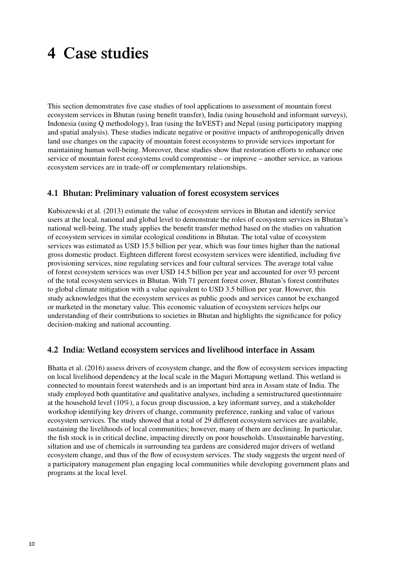### <span id="page-19-0"></span>**4 Case studies**

This section demonstrates five case studies of tool applications to assessment of mountain forest ecosystem services in Bhutan (using benefit transfer), India (using household and informant surveys), Indonesia (using Q methodology), Iran (using the InVEST) and Nepal (using participatory mapping and spatial analysis). These studies indicate negative or positive impacts of anthropogenically driven land use changes on the capacity of mountain forest ecosystems to provide services important for maintaining human well-being. Moreover, these studies show that restoration efforts to enhance one service of mountain forest ecosystems could compromise – or improve – another service, as various ecosystem services are in trade-off or complementary relationships.

### **4.1 Bhutan: Preliminary valuation of forest ecosystem services**

Kubiszewski et al. (2013) estimate the value of ecosystem services in Bhutan and identify service users at the local, national and global level to demonstrate the roles of ecosystem services in Bhutan's national well-being. The study applies the benefit transfer method based on the studies on valuation of ecosystem services in similar ecological conditions in Bhutan. The total value of ecosystem services was estimated as USD 15.5 billion per year, which was four times higher than the national gross domestic product. Eighteen different forest ecosystem services were identified, including five provisioning services, nine regulating services and four cultural services. The average total value of forest ecosystem services was over USD 14.5 billion per year and accounted for over 93 percent of the total ecosystem services in Bhutan. With 71 percent forest cover, Bhutan's forest contributes to global climate mitigation with a value equivalent to USD 3.5 billion per year. However, this study acknowledges that the ecosystem services as public goods and services cannot be exchanged or marketed in the monetary value. This economic valuation of ecosystem services helps our understanding of their contributions to societies in Bhutan and highlights the significance for policy decision-making and national accounting.

### **4.2 India: Wetland ecosystem services and livelihood interface in Assam**

Bhatta et al. (2016) assess drivers of ecosystem change, and the flow of ecosystem services impacting on local livelihood dependency at the local scale in the Maguri Mottapung wetland. This wetland is connected to mountain forest watersheds and is an important bird area in Assam state of India. The study employed both quantitative and qualitative analyses, including a semistructured questionnaire at the household level (10%), a focus group discussion, a key informant survey, and a stakeholder workshop identifying key drivers of change, community preference, ranking and value of various ecosystem services. The study showed that a total of 29 different ecosystem services are available, sustaining the livelihoods of local communities; however, many of them are declining. In particular, the fish stock is in critical decline, impacting directly on poor households. Unsustainable harvesting, siltation and use of chemicals in surrounding tea gardens are considered major drivers of wetland ecosystem change, and thus of the flow of ecosystem services. The study suggests the urgent need of a participatory management plan engaging local communities while developing government plans and programs at the local level.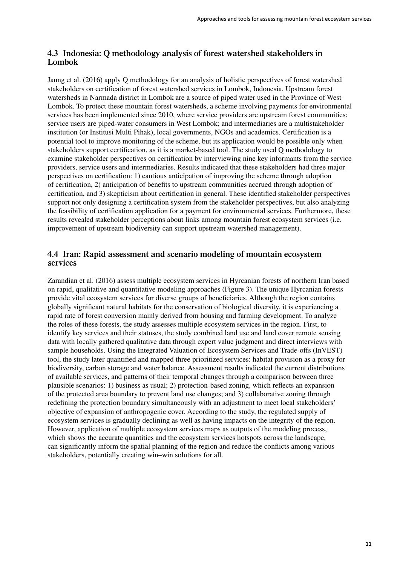### <span id="page-20-0"></span>**4.3 Indonesia: Q methodology analysis of forest watershed stakeholders in Lombok**

Jaung et al. (2016) apply Q methodology for an analysis of holistic perspectives of forest watershed stakeholders on certification of forest watershed services in Lombok, Indonesia. Upstream forest watersheds in Narmada district in Lombok are a source of piped water used in the Province of West Lombok. To protect these mountain forest watersheds, a scheme involving payments for environmental services has been implemented since 2010, where service providers are upstream forest communities; service users are piped-water consumers in West Lombok; and intermediaries are a multistakeholder institution (or Institusi Multi Pihak), local governments, NGOs and academics. Certification is a potential tool to improve monitoring of the scheme, but its application would be possible only when stakeholders support certification, as it is a market-based tool. The study used Q methodology to examine stakeholder perspectives on certification by interviewing nine key informants from the service providers, service users and intermediaries. Results indicated that these stakeholders had three major perspectives on certification: 1) cautious anticipation of improving the scheme through adoption of certification, 2) anticipation of benefits to upstream communities accrued through adoption of certification, and 3) skepticism about certification in general. These identified stakeholder perspectives support not only designing a certification system from the stakeholder perspectives, but also analyzing the feasibility of certification application for a payment for environmental services. Furthermore, these results revealed stakeholder perceptions about links among mountain forest ecosystem services (i.e. improvement of upstream biodiversity can support upstream watershed management).

### **4.4 Iran: Rapid assessment and scenario modeling of mountain ecosystem services**

Zarandian et al. (2016) assess multiple ecosystem services in Hyrcanian forests of northern Iran based on rapid, qualitative and quantitative modeling approaches (Figure 3). The unique Hyrcanian forests provide vital ecosystem services for diverse groups of beneficiaries. Although the region contains globally significant natural habitats for the conservation of biological diversity, it is experiencing a rapid rate of forest conversion mainly derived from housing and farming development. To analyze the roles of these forests, the study assesses multiple ecosystem services in the region. First, to identify key services and their statuses, the study combined land use and land cover remote sensing data with locally gathered qualitative data through expert value judgment and direct interviews with sample households. Using the Integrated Valuation of Ecosystem Services and Trade-offs (InVEST) tool, the study later quantified and mapped three prioritized services: habitat provision as a proxy for biodiversity, carbon storage and water balance. Assessment results indicated the current distributions of available services, and patterns of their temporal changes through a comparison between three plausible scenarios: 1) business as usual; 2) protection-based zoning, which reflects an expansion of the protected area boundary to prevent land use changes; and 3) collaborative zoning through redefining the protection boundary simultaneously with an adjustment to meet local stakeholders' objective of expansion of anthropogenic cover. According to the study, the regulated supply of ecosystem services is gradually declining as well as having impacts on the integrity of the region. However, application of multiple ecosystem services maps as outputs of the modeling process, which shows the accurate quantities and the ecosystem services hotspots across the landscape, can significantly inform the spatial planning of the region and reduce the conflicts among various stakeholders, potentially creating win–win solutions for all.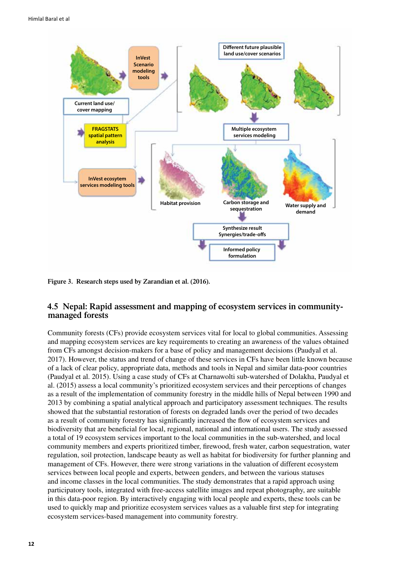<span id="page-21-0"></span>

**Figure 3. Research steps used by Zarandian et al. (2016).**

#### **4.5 Nepal: Rapid assessment and mapping of ecosystem services in communitymanaged forests**

Community forests (CFs) provide ecosystem services vital for local to global communities. Assessing and mapping ecosystem services are key requirements to creating an awareness of the values obtained from CFs amongst decision-makers for a base of policy and management decisions (Paudyal et al. 2017). However, the status and trend of change of these services in CFs have been little known because of a lack of clear policy, appropriate data, methods and tools in Nepal and similar data-poor countries (Paudyal et al. 2015). Using a case study of CFs at Charnawolti sub-watershed of Dolakha, Paudyal et al. (2015) assess a local community's prioritized ecosystem services and their perceptions of changes as a result of the implementation of community forestry in the middle hills of Nepal between 1990 and 2013 by combining a spatial analytical approach and participatory assessment techniques. The results showed that the substantial restoration of forests on degraded lands over the period of two decades as a result of community forestry has significantly increased the flow of ecosystem services and biodiversity that are beneficial for local, regional, national and international users. The study assessed a total of 19 ecosystem services important to the local communities in the sub-watershed, and local community members and experts prioritized timber, firewood, fresh water, carbon sequestration, water regulation, soil protection, landscape beauty as well as habitat for biodiversity for further planning and management of CFs. However, there were strong variations in the valuation of different ecosystem services between local people and experts, between genders, and between the various statuses and income classes in the local communities. The study demonstrates that a rapid approach using participatory tools, integrated with free-access satellite images and repeat photography, are suitable in this data-poor region. By interactively engaging with local people and experts, these tools can be used to quickly map and prioritize ecosystem services values as a valuable first step for integrating ecosystem services-based management into community forestry.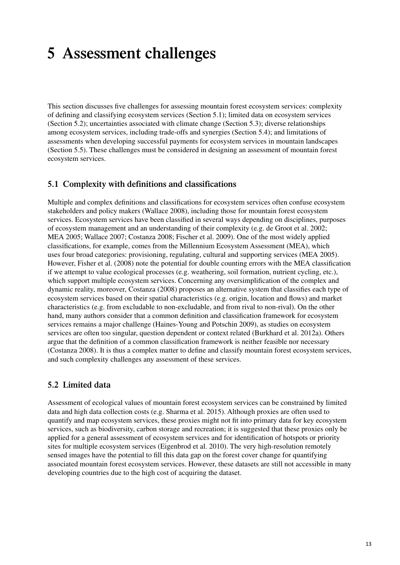### <span id="page-22-0"></span>**5 Assessment challenges**

This section discusses five challenges for assessing mountain forest ecosystem services: complexity of defining and classifying ecosystem services (Section 5.1); limited data on ecosystem services (Section 5.2); uncertainties associated with climate change (Section 5.3); diverse relationships among ecosystem services, including trade-offs and synergies (Section 5.4); and limitations of assessments when developing successful payments for ecosystem services in mountain landscapes (Section 5.5). These challenges must be considered in designing an assessment of mountain forest ecosystem services.

### **5.1 Complexity with definitions and classifications**

Multiple and complex definitions and classifications for ecosystem services often confuse ecosystem stakeholders and policy makers (Wallace 2008), including those for mountain forest ecosystem services. Ecosystem services have been classified in several ways depending on disciplines, purposes of ecosystem management and an understanding of their complexity (e.g. de Groot et al. 2002; MEA 2005; Wallace 2007; Costanza 2008; Fischer et al. 2009). One of the most widely applied classifications, for example, comes from the Millennium Ecosystem Assessment (MEA), which uses four broad categories: provisioning, regulating, cultural and supporting services (MEA 2005). However, Fisher et al. (2008) note the potential for double counting errors with the MEA classification if we attempt to value ecological processes (e.g. weathering, soil formation, nutrient cycling, etc.), which support multiple ecosystem services. Concerning any oversimplification of the complex and dynamic reality, moreover, Costanza (2008) proposes an alternative system that classifies each type of ecosystem services based on their spatial characteristics (e.g. origin, location and flows) and market characteristics (e.g. from excludable to non-excludable, and from rival to non-rival). On the other hand, many authors consider that a common definition and classification framework for ecosystem services remains a major challenge (Haines-Young and Potschin 2009), as studies on ecosystem services are often too singular, question dependent or context related (Burkhard et al. 2012a). Others argue that the definition of a common classification framework is neither feasible nor necessary (Costanza 2008). It is thus a complex matter to define and classify mountain forest ecosystem services, and such complexity challenges any assessment of these services.

### **5.2 Limited data**

Assessment of ecological values of mountain forest ecosystem services can be constrained by limited data and high data collection costs (e.g. Sharma et al. 2015). Although proxies are often used to quantify and map ecosystem services, these proxies might not fit into primary data for key ecosystem services, such as biodiversity, carbon storage and recreation; it is suggested that these proxies only be applied for a general assessment of ecosystem services and for identification of hotspots or priority sites for multiple ecosystem services (Eigenbrod et al. 2010). The very high-resolution remotely sensed images have the potential to fill this data gap on the forest cover change for quantifying associated mountain forest ecosystem services. However, these datasets are still not accessible in many developing countries due to the high cost of acquiring the dataset.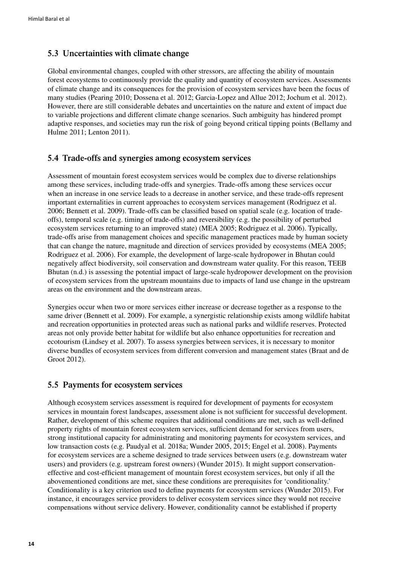### <span id="page-23-0"></span>**5.3 Uncertainties with climate change**

Global environmental changes, coupled with other stressors, are affecting the ability of mountain forest ecosystems to continuously provide the quality and quantity of ecosystem services. Assessments of climate change and its consequences for the provision of ecosystem services have been the focus of many studies (Pearing 2010; Dossena et al. 2012; Garcia-Lopez and Allue 2012; Jochum et al. 2012). However, there are still considerable debates and uncertainties on the nature and extent of impact due to variable projections and different climate change scenarios. Such ambiguity has hindered prompt adaptive responses, and societies may run the risk of going beyond critical tipping points (Bellamy and Hulme 2011; Lenton 2011).

### **5.4 Trade-offs and synergies among ecosystem services**

Assessment of mountain forest ecosystem services would be complex due to diverse relationships among these services, including trade-offs and synergies. Trade-offs among these services occur when an increase in one service leads to a decrease in another service, and these trade-offs represent important externalities in current approaches to ecosystem services management (Rodriguez et al. 2006; Bennett et al. 2009). Trade-offs can be classified based on spatial scale (e.g. location of tradeoffs), temporal scale (e.g. timing of trade-offs) and reversibility (e.g. the possibility of perturbed ecosystem services returning to an improved state) (MEA 2005; Rodriguez et al. 2006). Typically, trade-offs arise from management choices and specific management practices made by human society that can change the nature, magnitude and direction of services provided by ecosystems (MEA 2005; Rodriguez et al. 2006). For example, the development of large-scale hydropower in Bhutan could negatively affect biodiversity, soil conservation and downstream water quality. For this reason, TEEB Bhutan (n.d.) is assessing the potential impact of large-scale hydropower development on the provision of ecosystem services from the upstream mountains due to impacts of land use change in the upstream areas on the environment and the downstream areas.

Synergies occur when two or more services either increase or decrease together as a response to the same driver (Bennett et al. 2009). For example, a synergistic relationship exists among wildlife habitat and recreation opportunities in protected areas such as national parks and wildlife reserves. Protected areas not only provide better habitat for wildlife but also enhance opportunities for recreation and ecotourism (Lindsey et al. 2007). To assess synergies between services, it is necessary to monitor diverse bundles of ecosystem services from different conversion and management states (Braat and de Groot 2012).

### **5.5 Payments for ecosystem services**

Although ecosystem services assessment is required for development of payments for ecosystem services in mountain forest landscapes, assessment alone is not sufficient for successful development. Rather, development of this scheme requires that additional conditions are met, such as well-defined property rights of mountain forest ecosystem services, sufficient demand for services from users, strong institutional capacity for administrating and monitoring payments for ecosystem services, and low transaction costs (e.g. Paudyal et al. 2018a; Wunder 2005, 2015; Engel et al. 2008). Payments for ecosystem services are a scheme designed to trade services between users (e.g. downstream water users) and providers (e.g. upstream forest owners) (Wunder 2015). It might support conservationeffective and cost-efficient management of mountain forest ecosystem services, but only if all the abovementioned conditions are met, since these conditions are prerequisites for 'conditionality.' Conditionality is a key criterion used to define payments for ecosystem services (Wunder 2015). For instance, it encourages service providers to deliver ecosystem services since they would not receive compensations without service delivery. However, conditionality cannot be established if property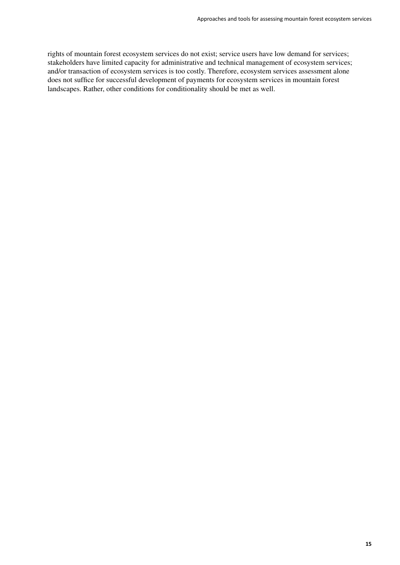rights of mountain forest ecosystem services do not exist; service users have low demand for services; stakeholders have limited capacity for administrative and technical management of ecosystem services; and/or transaction of ecosystem services is too costly. Therefore, ecosystem services assessment alone does not suffice for successful development of payments for ecosystem services in mountain forest landscapes. Rather, other conditions for conditionality should be met as well.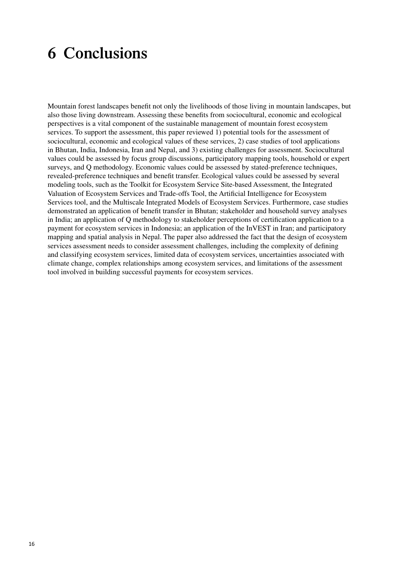### <span id="page-25-0"></span>**6 Conclusions**

Mountain forest landscapes benefit not only the livelihoods of those living in mountain landscapes, but also those living downstream. Assessing these benefits from sociocultural, economic and ecological perspectives is a vital component of the sustainable management of mountain forest ecosystem services. To support the assessment, this paper reviewed 1) potential tools for the assessment of sociocultural, economic and ecological values of these services, 2) case studies of tool applications in Bhutan, India, Indonesia, Iran and Nepal, and 3) existing challenges for assessment. Sociocultural values could be assessed by focus group discussions, participatory mapping tools, household or expert surveys, and Q methodology. Economic values could be assessed by stated-preference techniques, revealed-preference techniques and benefit transfer. Ecological values could be assessed by several modeling tools, such as the Toolkit for Ecosystem Service Site-based Assessment, the Integrated Valuation of Ecosystem Services and Trade-offs Tool, the Artificial Intelligence for Ecosystem Services tool, and the Multiscale Integrated Models of Ecosystem Services. Furthermore, case studies demonstrated an application of benefit transfer in Bhutan; stakeholder and household survey analyses in India; an application of Q methodology to stakeholder perceptions of certification application to a payment for ecosystem services in Indonesia; an application of the InVEST in Iran; and participatory mapping and spatial analysis in Nepal. The paper also addressed the fact that the design of ecosystem services assessment needs to consider assessment challenges, including the complexity of defining and classifying ecosystem services, limited data of ecosystem services, uncertainties associated with climate change, complex relationships among ecosystem services, and limitations of the assessment tool involved in building successful payments for ecosystem services.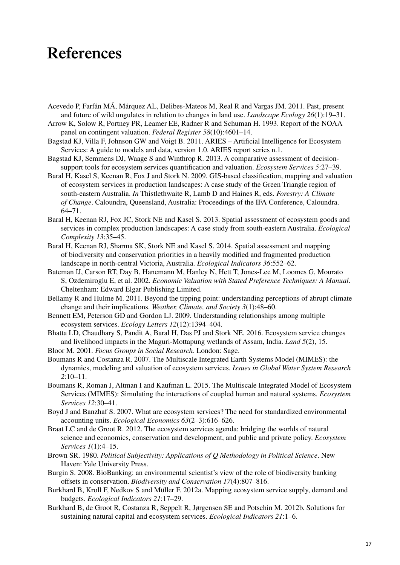### <span id="page-26-0"></span>**References**

- Acevedo P, Farfán MÁ, Márquez AL, Delibes-Mateos M, Real R and Vargas JM. 2011. Past, present and future of wild ungulates in relation to changes in land use. *Landscape Ecology 26*(1):19–31.
- Arrow K, Solow R, Portney PR, Leamer EE, Radner R and Schuman H. 1993. Report of the NOAA panel on contingent valuation. *Federal Register 58*(10):4601–14.
- Bagstad KJ, Villa F, Johnson GW and Voigt B. 2011. ARIES Artificial Intelligence for Ecosystem Services: A guide to models and data, version 1.0. ARIES report series n.1.
- Bagstad KJ, Semmens DJ, Waage S and Winthrop R. 2013. A comparative assessment of decisionsupport tools for ecosystem services quantification and valuation. *Ecosystem Services 5*:27–39.
- Baral H, Kasel S, Keenan R, Fox J and Stork N. 2009. GIS-based classification, mapping and valuation of ecosystem services in production landscapes: A case study of the Green Triangle region of south-eastern Australia. *In* Thistlethwaite R, Lamb D and Haines R, eds. *Forestry: A Climate of Change*. Caloundra, Queensland, Australia: Proceedings of the IFA Conference, Caloundra. 64–71.
- Baral H, Keenan RJ, Fox JC, Stork NE and Kasel S. 2013. Spatial assessment of ecosystem goods and services in complex production landscapes: A case study from south-eastern Australia. *Ecological Complexity 13*:35–45.
- Baral H, Keenan RJ, Sharma SK, Stork NE and Kasel S. 2014. Spatial assessment and mapping of biodiversity and conservation priorities in a heavily modified and fragmented production landscape in north-central Victoria, Australia. *Ecological Indicators 36*:552–62.
- Bateman IJ, Carson RT, Day B, Hanemann M, Hanley N, Hett T, Jones-Lee M, Loomes G, Mourato S, Ozdemiroglu E, et al. 2002. *Economic Valuation with Stated Preference Techniques: A Manual*. Cheltenham: Edward Elgar Publishing Limited.
- Bellamy R and Hulme M. 2011. Beyond the tipping point: understanding perceptions of abrupt climate change and their implications. *Weather, Climate, and Society 3*(1):48–60.
- Bennett EM, Peterson GD and Gordon LJ. 2009. Understanding relationships among multiple ecosystem services. *Ecology Letters 12*(12):1394–404.
- Bhatta LD, Chaudhary S, Pandit A, Baral H, Das PJ and Stork NE. 2016. Ecosystem service changes and livelihood impacts in the Maguri-Mottapung wetlands of Assam, India. *Land 5*(2), 15.
- Bloor M. 2001. *Focus Groups in Social Research*. London: Sage.
- Boumans R and Costanza R. 2007. The Multiscale Integrated Earth Systems Model (MIMES): the dynamics, modeling and valuation of ecosystem services. *Issues in Global Water System Research 2*:10–11.
- Boumans R, Roman J, Altman I and Kaufman L. 2015. The Multiscale Integrated Model of Ecosystem Services (MIMES): Simulating the interactions of coupled human and natural systems. *Ecosystem Services 12*:30–41.
- Boyd J and Banzhaf S. 2007. What are ecosystem services? The need for standardized environmental accounting units. *Ecological Economics 63*(2–3):616–626.
- Braat LC and de Groot R. 2012. The ecosystem services agenda: bridging the worlds of natural science and economics, conservation and development, and public and private policy. *Ecosystem Services 1*(1):4–15.
- Brown SR. 1980. *Political Subjectivity: Applications of Q Methodology in Political Science*. New Haven: Yale University Press.
- Burgin S. 2008. BioBanking: an environmental scientist's view of the role of biodiversity banking offsets in conservation. *Biodiversity and Conservation 17*(4):807–816.
- Burkhard B, Kroll F, Nedkov S and Müller F. 2012a. Mapping ecosystem service supply, demand and budgets. *Ecological Indicators 21*:17–29.
- Burkhard B, de Groot R, Costanza R, Seppelt R, Jørgensen SE and Potschin M. 2012b. Solutions for sustaining natural capital and ecosystem services. *Ecological Indicators 21*:1–6.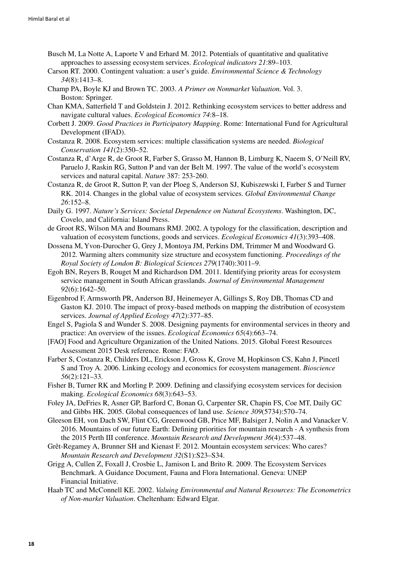- Busch M, La Notte A, Laporte V and Erhard M. 2012. Potentials of quantitative and qualitative approaches to assessing ecosystem services. *Ecological indicators 21*:89–103.
- Carson RT. 2000. Contingent valuation: a user's guide. *Environmental Science & Technology 34*(8):1413–8.
- Champ PA, Boyle KJ and Brown TC. 2003. *A Primer on Nonmarket Valuation.* Vol. 3. Boston: Springer.
- Chan KMA, Satterfield T and Goldstein J. 2012. Rethinking ecosystem services to better address and navigate cultural values. *Ecological Economics 74*:8–18.
- Corbett J. 2009. *Good Practices in Participatory Mapping*. Rome: International Fund for Agricultural Development (IFAD).
- Costanza R. 2008. Ecosystem services: multiple classification systems are needed. *Biological Conservation 141*(2):350–52.
- Costanza R, d'Arge R, de Groot R, Farber S, Grasso M, Hannon B, Limburg K, Naeem S, O'Neill RV, Paruelo J, Raskin RG, Sutton P and van der Belt M. 1997. The value of the world's ecosystem services and natural capital. *Nature* 387: 253-260.
- Costanza R, de Groot R, Sutton P, van der Ploeg S, Anderson SJ, Kubiszewski I, Farber S and Turner RK. 2014. Changes in the global value of ecosystem services. *Global Environmental Change 26*:152–8.
- Daily G. 1997. *Nature's Services: Societal Dependence on Natural Ecosystems*. Washington, DC, Covelo, and California: Island Press.
- de Groot RS, Wilson MA and Boumans RMJ. 2002. A typology for the classification, description and valuation of ecosystem functions, goods and services. *Ecological Economics 41*(3):393–408.
- Dossena M, Yvon-Durocher G, Grey J, Montoya JM, Perkins DM, Trimmer M and Woodward G. 2012. Warming alters community size structure and ecosystem functioning. *Proceedings of the Royal Society of London B: Biological Sciences 279*(1740):3011–9.
- Egoh BN, Reyers B, Rouget M and Richardson DM. 2011. Identifying priority areas for ecosystem service management in South African grasslands. *Journal of Environmental Management 92*(6):1642–50.
- Eigenbrod F, Armsworth PR, Anderson BJ, Heinemeyer A, Gillings S, Roy DB, Thomas CD and Gaston KJ. 2010. The impact of proxy-based methods on mapping the distribution of ecosystem services. *Journal of Applied Ecology 47*(2):377–85.
- Engel S, Pagiola S and Wunder S. 2008. Designing payments for environmental services in theory and practice: An overview of the issues. *Ecological Economics 65*(4):663–74.
- [FAO] Food and Agriculture Organization of the United Nations. 2015. Global Forest Resources Assessment 2015 Desk reference. Rome: FAO.
- Farber S, Costanza R, Childers DL, Erickson J, Gross K, Grove M, Hopkinson CS, Kahn J, Pincetl S and Troy A. 2006. Linking ecology and economics for ecosystem management. *Bioscience 56*(2):121–33.
- Fisher B, Turner RK and Morling P. 2009. Defining and classifying ecosystem services for decision making. *Ecological Economics 68*(3):643–53.
- Foley JA, DeFries R, Asner GP, Barford C, Bonan G, Carpenter SR, Chapin FS, Coe MT, Daily GC and Gibbs HK. 2005. Global consequences of land use. *Science 309*(5734):570–74.
- Gleeson EH, von Dach SW, Flint CG, Greenwood GB, Price MF, Balsiger J, Nolin A and Vanacker V. 2016. Mountains of our future Earth: Defining priorities for mountain research - A synthesis from the 2015 Perth III conference. *Mountain Research and Development 36*(4):537–48.
- Grêt-Regamey A, Brunner SH and Kienast F. 2012. Mountain ecosystem services: Who cares? *Mountain Research and Development 32*(S1):S23–S34.
- Grigg A, Cullen Z, Foxall J, Crosbie L, Jamison L and Brito R. 2009. The Ecosystem Services Benchmark. A Guidance Document, Fauna and Flora International. Geneva: UNEP Financial Initiative.
- Haab TC and McConnell KE. 2002. *Valuing Environmental and Natural Resources: The Econometrics of Non-market Valuation*. Cheltenham: Edward Elgar.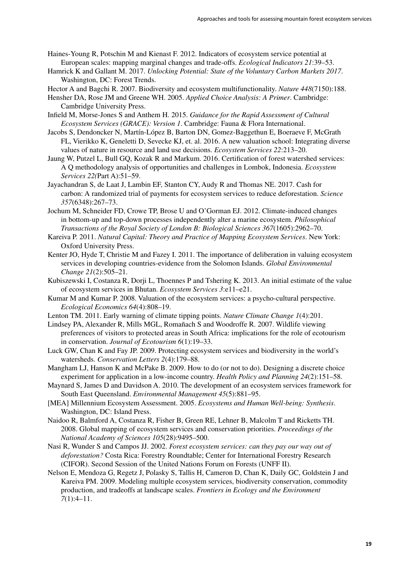- Haines-Young R, Potschin M and Kienast F. 2012. Indicators of ecosystem service potential at European scales: mapping marginal changes and trade-offs. *Ecological Indicators 21*:39–53.
- Hamrick K and Gallant M. 2017. *Unlocking Potential: State of the Voluntary Carbon Markets 2017*. Washington, DC: Forest Trends.
- Hector A and Bagchi R. 2007. Biodiversity and ecosystem multifunctionality. *Nature 448*(7150):188.
- Hensher DA, Rose JM and Greene WH. 2005. *Applied Choice Analysis: A Primer*. Cambridge: Cambridge University Press.
- Infield M, Morse-Jones S and Anthem H. 2015. *Guidance for the Rapid Assessment of Cultural Ecosystem Services (GRACE): Version 1*. Cambridge: Fauna & Flora International.
- Jacobs S, Dendoncker N, Martín-López B, Barton DN, Gomez-Baggethun E, Boeraeve F, McGrath FL, Vierikko K, Geneletti D, Sevecke KJ, et. al. 2016. A new valuation school: Integrating diverse values of nature in resource and land use decisions. *Ecosystem Services 22*:213–20.
- Jaung W, Putzel L, Bull GQ, Kozak R and Markum. 2016. Certification of forest watershed services: A Q methodology analysis of opportunities and challenges in Lombok, Indonesia. *Ecosystem Services 22(*Part A):51–59.
- Jayachandran S, de Laat J, Lambin EF, Stanton CY, Audy R and Thomas NE. 2017. Cash for carbon: A randomized trial of payments for ecosystem services to reduce deforestation. *Science 357*(6348):267–73.
- Jochum M, Schneider FD, Crowe TP, Brose U and O'Gorman EJ. 2012. Climate-induced changes in bottom-up and top-down processes independently alter a marine ecosystem. *Philosophical Transactions of the Royal Society of London B: Biological Sciences 367*(1605):2962–70.
- Kareiva P. 2011. *Natural Capital: Theory and Practice of Mapping Ecosystem Services*. New York: Oxford University Press.
- Kenter JO, Hyde T, Christie M and Fazey I. 2011. The importance of deliberation in valuing ecosystem services in developing countries-evidence from the Solomon Islands. *Global Environmental Change 21*(2):505–21.
- Kubiszewski I, Costanza R, Dorji L, Thoennes P and Tshering K. 2013. An initial estimate of the value of ecosystem services in Bhutan. *Ecosystem Services 3*:e11–e21.
- Kumar M and Kumar P. 2008. Valuation of the ecosystem services: a psycho-cultural perspective. *Ecological Economics 64*(4):808–19.
- Lenton TM. 2011. Early warning of climate tipping points. *Nature Climate Change 1*(4):201.
- Lindsey PA, Alexander R, Mills MGL, Romañach S and Woodroffe R. 2007. Wildlife viewing preferences of visitors to protected areas in South Africa: implications for the role of ecotourism in conservation. *Journal of Ecotourism 6*(1):19–33.
- Luck GW, Chan K and Fay JP. 2009. Protecting ecosystem services and biodiversity in the world's watersheds. *Conservation Letters 2*(4):179–88.
- Mangham LJ, Hanson K and McPake B. 2009. How to do (or not to do). Designing a discrete choice experiment for application in a low-income country. *Health Policy and Planning 24*(2):151–58.
- Maynard S, James D and Davidson A. 2010. The development of an ecosystem services framework for South East Queensland. *Environmental Management 45*(5):881–95.
- [MEA] Millennium Ecosystem Assessment. 2005. *Ecosystems and Human Well-being: Synthesis*. Washington, DC: Island Press.
- Naidoo R, Balmford A, Costanza R, Fisher B, Green RE, Lehner B, Malcolm T and Ricketts TH. 2008. Global mapping of ecosystem services and conservation priorities. *Proceedings of the National Academy of Sciences 105*(28):9495–500.
- Nasi R, Wunder S and Campos JJ. 2002. *Forest ecosystem services: can they pay our way out of deforestation?* Costa Rica: Forestry Roundtable; Center for International Forestry Research (CIFOR). Second Session of the United Nations Forum on Forests (UNFF II).
- Nelson E, Mendoza G, Regetz J, Polasky S, Tallis H, Cameron D, Chan K, Daily GC, Goldstein J and Kareiva PM. 2009. Modeling multiple ecosystem services, biodiversity conservation, commodity production, and tradeoffs at landscape scales. *Frontiers in Ecology and the Environment 7*(1):4–11.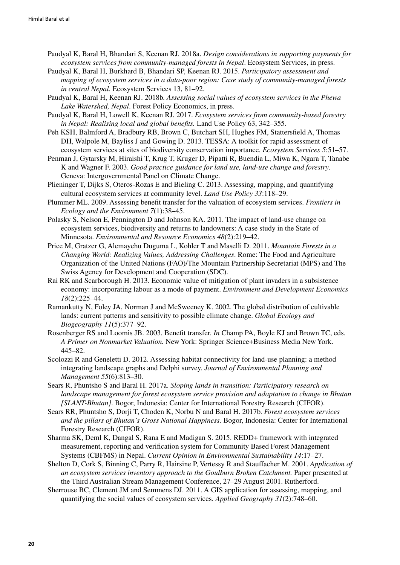- Paudyal K, Baral H, Bhandari S, Keenan RJ. 2018a. *Design considerations in supporting payments for ecosystem services from community-managed forests in Nepal*. Ecosystem Services, in press.
- Paudyal K, Baral H, Burkhard B, Bhandari SP, Keenan RJ. 2015. *Participatory assessment and mapping of ecosystem services in a data-poor region: Case study of community-managed forests in central Nepal*. Ecosystem Services 13, 81–92.
- Paudyal K, Baral H, Keenan RJ. 2018b. *Assessing social values of ecosystem services in the Phewa Lake Watershed, Nepal*. Forest Policy Economics, in press.
- Paudyal K, Baral H, Lowell K, Keenan RJ. 2017. *Ecosystem services from community-based forestry in Nepal: Realising local and global benefits.* Land Use Policy 63, 342–355.
- Peh KSH, Balmford A, Bradbury RB, Brown C, Butchart SH, Hughes FM, Stattersfield A, Thomas DH, Walpole M, Bayliss J and Gowing D. 2013. TESSA: A toolkit for rapid assessment of ecosystem services at sites of biodiversity conservation importance. *Ecosystem Services 5*:51–57.
- Penman J, Gytarsky M, Hiraishi T, Krug T, Kruger D, Pipatti R, Buendia L, Miwa K, Ngara T, Tanabe K and Wagner F. 2003. *Good practice guidance for land use, land-use change and forestry*. Geneva: Intergovernmental Panel on Climate Change.
- Plieninger T, Dijks S, Oteros-Rozas E and Bieling C. 2013. Assessing, mapping, and quantifying cultural ecosystem services at community level. *Land Use Policy 33*:118–29.
- Plummer ML. 2009. Assessing benefit transfer for the valuation of ecosystem services. *Frontiers in Ecology and the Environment 7*(1):38–45.
- Polasky S, Nelson E, Pennington D and Johnson KA. 2011. The impact of land-use change on ecosystem services, biodiversity and returns to landowners: A case study in the State of Minnesota. *Environmental and Resource Economics 48*(2):219–42.
- Price M, Gratzer G, Alemayehu Duguma L, Kohler T and Maselli D. 2011. *Mountain Forests in a Changing World: Realizing Values, Addressing Challenges*. Rome: The Food and Agriculture Organization of the United Nations (FAO)/The Mountain Partnership Secretariat (MPS) and The Swiss Agency for Development and Cooperation (SDC).
- Rai RK and Scarborough H. 2013. Economic value of mitigation of plant invaders in a subsistence economy: incorporating labour as a mode of payment. *Environment and Development Economics 18*(2):225–44.
- Ramankutty N, Foley JA, Norman J and McSweeney K. 2002. The global distribution of cultivable lands: current patterns and sensitivity to possible climate change. *Global Ecology and Biogeography 11*(5):377–92.
- Rosenberger RS and Loomis JB. 2003. Benefit transfer. *In* Champ PA, Boyle KJ and Brown TC, eds. *A Primer on Nonmarket Valuation.* New York: Springer Science+Business Media New York. 445–82.
- Scolozzi R and Geneletti D. 2012. Assessing habitat connectivity for land-use planning: a method integrating landscape graphs and Delphi survey. *Journal of Environmental Planning and Management 55*(6):813–30.
- Sears R, Phuntsho S and Baral H. 2017a. *Sloping lands in transition: Participatory research on landscape management for forest ecosystem service provision and adaptation to change in Bhutan [SLANT-Bhutan]*. Bogor, Indonesia: Center for International Forestry Research (CIFOR).
- Sears RR, Phuntsho S, Dorji T, Choden K, Norbu N and Baral H. 2017b. *Forest ecosystem services and the pillars of Bhutan's Gross National Happiness*. Bogor, Indonesia: Center for International Forestry Research (CIFOR).
- Sharma SK, Deml K, Dangal S, Rana E and Madigan S. 2015. REDD+ framework with integrated measurement, reporting and verification system for Community Based Forest Management Systems (CBFMS) in Nepal. *Current Opinion in Environmental Sustainability 14*:17–27.
- Shelton D, Cork S, Binning C, Parry R, Hairsine P, Vertessy R and Stauffacher M. 2001. *Application of an ecosystem services inventory approach to the Goulburn Broken Catchment.* Paper presented at the Third Australian Stream Management Conference, 27–29 August 2001. Rutherford.
- Sherrouse BC, Clement JM and Semmens DJ. 2011. A GIS application for assessing, mapping, and quantifying the social values of ecosystem services. *Applied Geography 31*(2):748–60.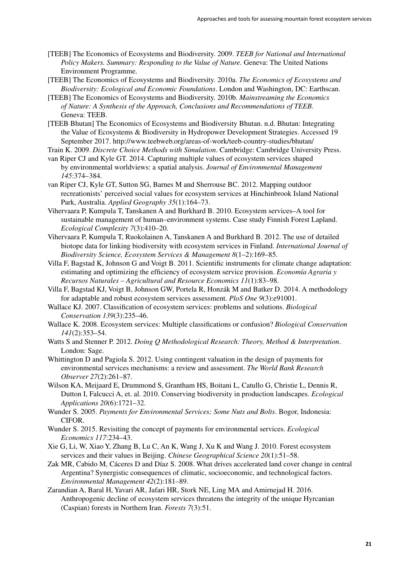- [TEEB] The Economics of Ecosystems and Biodiversity. 2009. *TEEB for National and International Policy Makers. Summary: Responding to the Value of Nature*. Geneva: The United Nations Environment Programme.
- [TEEB] The Economics of Ecosystems and Biodiversity. 2010a. *The Economics of Ecosystems and Biodiversity: Ecological and Economic Foundations*. London and Washington, DC: Earthscan.
- [TEEB] The Economics of Ecosystems and Biodiversity. 2010b. *Mainstreaming the Economics of Nature: A Synthesis of the Approach, Conclusions and Recommendations of TEEB*. Geneva: TEEB.
- [TEEB Bhutan] The Economics of Ecosystems and Biodiversity Bhutan. n.d. Bhutan: Integrating the Value of Ecosystems & Biodiversity in Hydropower Development Strategies. Accessed 19 September 2017. http://www.teebweb.org/areas-of-work/teeb-country-studies/bhutan/

Train K. 2009. *Discrete Choice Methods with Simulation*. Cambridge: Cambridge University Press.

- van Riper CJ and Kyle GT. 2014. Capturing multiple values of ecosystem services shaped by environmental worldviews: a spatial analysis. *Journal of Environmental Management 145*:374–384.
- van Riper CJ, Kyle GT, Sutton SG, Barnes M and Sherrouse BC. 2012. Mapping outdoor recreationists' perceived social values for ecosystem services at Hinchinbrook Island National Park, Australia. *Applied Geography 35*(1):164–73.
- Vihervaara P, Kumpula T, Tanskanen A and Burkhard B. 2010. Ecosystem services–A tool for sustainable management of human–environment systems. Case study Finnish Forest Lapland. *Ecological Complexity 7*(3):410–20.
- Vihervaara P, Kumpula T, Ruokolainen A, Tanskanen A and Burkhard B. 2012. The use of detailed biotope data for linking biodiversity with ecosystem services in Finland. *International Journal of Biodiversity Science, Ecosystem Services & Management 8*(1–2):169–85.
- Villa F, Bagstad K, Johnson G and Voigt B. 2011. Scientific instruments for climate change adaptation: estimating and optimizing the efficiency of ecosystem service provision. *Economía Agraria y Recursos Naturales – Agricultural and Resource Economics 11*(1):83–98.
- Villa F, Bagstad KJ, Voigt B, Johnson GW, Portela R, Honzák M and Batker D. 2014. A methodology for adaptable and robust ecosystem services assessment. *PloS One 9*(3):e91001.
- Wallace KJ. 2007. Classification of ecosystem services: problems and solutions. *Biological Conservation 139*(3):235–46.
- Wallace K. 2008. Ecosystem services: Multiple classifications or confusion? *Biological Conservation 141*(2):353–54.
- Watts S and Stenner P. 2012. *Doing Q Methodological Research: Theory, Method & Interpretation*. London: Sage.
- Whittington D and Pagiola S. 2012. Using contingent valuation in the design of payments for environmental services mechanisms: a review and assessment. *The World Bank Research Observer 27*(2):261–87.
- Wilson KA, Meijaard E, Drummond S, Grantham HS, Boitani L, Catullo G, Christie L, Dennis R, Dutton I, Falcucci A, et. al. 2010. Conserving biodiversity in production landscapes. *Ecological Applications 20*(6):1721–32.
- Wunder S. 2005. *Payments for Environmental Services; Some Nuts and Bolts*. Bogor, Indonesia: CIFOR.
- Wunder S. 2015. Revisiting the concept of payments for environmental services. *Ecological Economics 117*:234–43.
- Xie G, Li, W, Xiao Y, Zhang B, Lu C, An K, Wang J, Xu K and Wang J. 2010. Forest ecosystem services and their values in Beijing. *Chinese Geographical Science 20*(1):51–58.
- Zak MR, Cabido M, Cáceres D and Díaz S. 2008. What drives accelerated land cover change in central Argentina? Synergistic consequences of climatic, socioeconomic, and technological factors. *Environmental Management 42*(2):181–89.
- Zarandian A, Baral H, Yavari AR, Jafari HR, Stork NE, Ling MA and Amirnejad H. 2016. Anthropogenic decline of ecosystem services threatens the integrity of the unique Hyrcanian (Caspian) forests in Northern Iran. *Forests 7*(3):51.